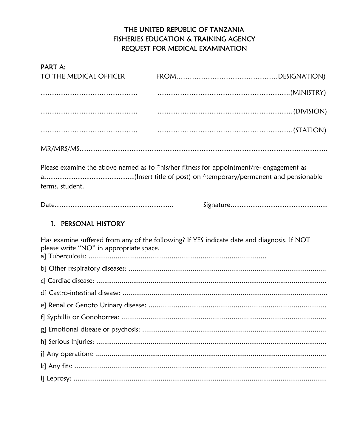# THE UNITED REPUBLIC OF TANZANIA **FISHERIES EDUCATION & TRAINING AGENCY** REQUEST FOR MEDICAL EXAMINATION

#### PART A:

| TO THE MEDICAL OFFICER                  |                                                                                            |
|-----------------------------------------|--------------------------------------------------------------------------------------------|
|                                         |                                                                                            |
|                                         |                                                                                            |
|                                         |                                                                                            |
|                                         |                                                                                            |
| terms, student.                         | Please examine the above named as to *his/her fitness for appointment/re- engagement as    |
|                                         |                                                                                            |
| PERSONAL HISTORY<br>1.                  |                                                                                            |
| please write "NO" in appropriate space. | Has examine suffered from any of the following? If YES indicate date and diagnosis. If NOT |
|                                         |                                                                                            |
|                                         |                                                                                            |
|                                         |                                                                                            |
|                                         |                                                                                            |
|                                         |                                                                                            |
|                                         |                                                                                            |
|                                         |                                                                                            |
|                                         |                                                                                            |
|                                         |                                                                                            |
|                                         |                                                                                            |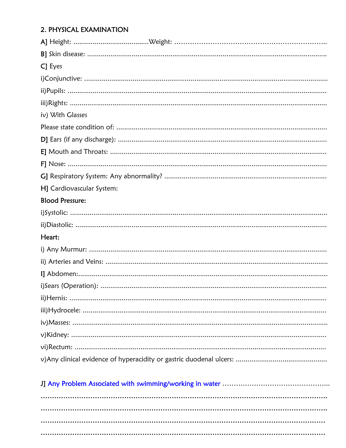## 2. PHYSICAL EXAMINATION

| C] Eyes                   |
|---------------------------|
|                           |
|                           |
|                           |
| iv) With Glasses          |
|                           |
|                           |
|                           |
|                           |
|                           |
| H] Cardiovascular System: |
| <b>Blood Pressure:</b>    |
|                           |
|                           |
| Heart:                    |
|                           |
|                           |
|                           |
|                           |
|                           |
|                           |
|                           |
|                           |
|                           |
|                           |
|                           |

|  |  | $\frac{1}{2}$ and the contract observed with by the map weight were contracted the contracted contracted the contracted of $\frac{1}{2}$ |
|--|--|------------------------------------------------------------------------------------------------------------------------------------------|
|  |  |                                                                                                                                          |
|  |  |                                                                                                                                          |
|  |  |                                                                                                                                          |
|  |  |                                                                                                                                          |
|  |  |                                                                                                                                          |